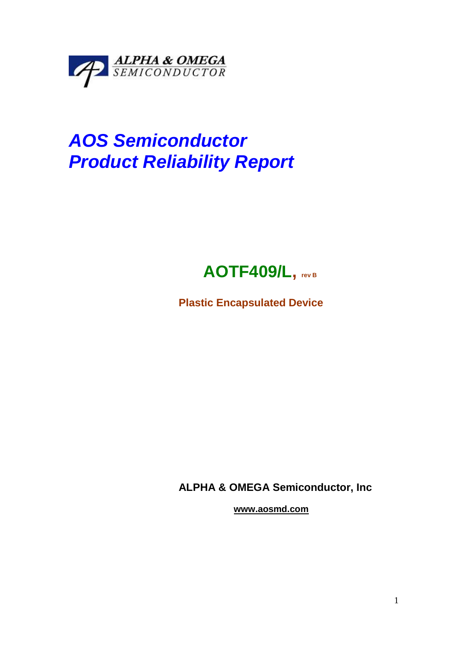

# **AOS Semiconductor Product Reliability Report**

## **AOTF409/L, rev B**

**Plastic Encapsulated Device** 

**ALPHA & OMEGA Semiconductor, Inc** 

 **www.aosmd.com**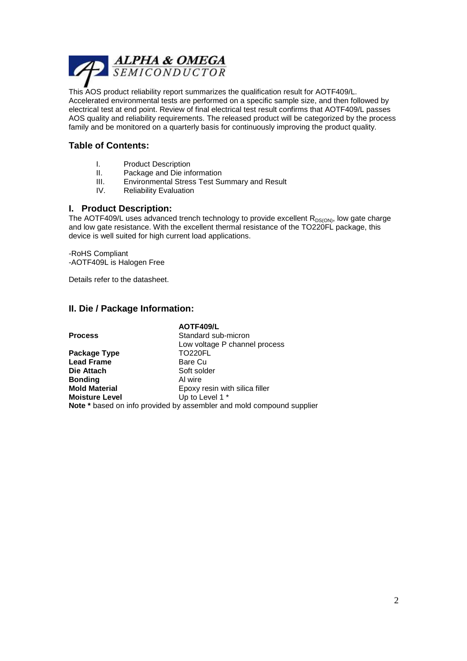

This AOS product reliability report summarizes the qualification result for AOTF409/L. Accelerated environmental tests are performed on a specific sample size, and then followed by electrical test at end point. Review of final electrical test result confirms that AOTF409/L passes AOS quality and reliability requirements. The released product will be categorized by the process family and be monitored on a quarterly basis for continuously improving the product quality.

#### **Table of Contents:**

- I. Product Description
- II. Package and Die information
- III. Environmental Stress Test Summary and Result
- IV. Reliability Evaluation

#### **I. Product Description:**

The AOTF409/L uses advanced trench technology to provide excellent  $R_{DS(ON)}$ , low gate charge and low gate resistance. With the excellent thermal resistance of the TO220FL package, this device is well suited for high current load applications.

-RoHS Compliant -AOTF409L is Halogen Free

Details refer to the datasheet.

#### **II. Die / Package Information:**

|                       | AOTF409/L                                                                    |
|-----------------------|------------------------------------------------------------------------------|
| <b>Process</b>        | Standard sub-micron                                                          |
|                       | Low voltage P channel process                                                |
| Package Type          | <b>TO220FL</b>                                                               |
| <b>Lead Frame</b>     | Bare Cu                                                                      |
| Die Attach            | Soft solder                                                                  |
| <b>Bonding</b>        | Al wire                                                                      |
| <b>Mold Material</b>  | Epoxy resin with silica filler                                               |
| <b>Moisture Level</b> | Up to Level 1 *                                                              |
|                       | <b>Note</b> * based on info provided by assembler and mold compound supplier |